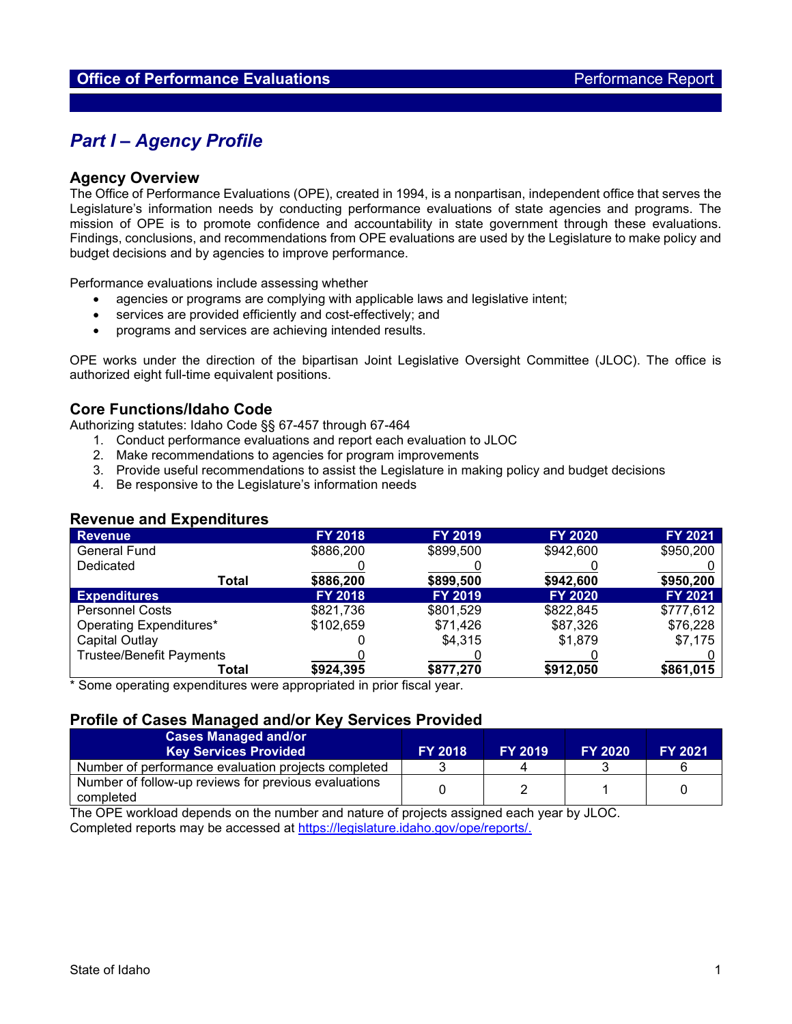# *Part I – Agency Profile*

### **Agency Overview**

The Office of Performance Evaluations (OPE), created in 1994, is a nonpartisan, independent office that serves the Legislature's information needs by conducting performance evaluations of state agencies and programs. The mission of OPE is to promote confidence and accountability in state government through these evaluations. Findings, conclusions, and recommendations from OPE evaluations are used by the Legislature to make policy and budget decisions and by agencies to improve performance.

Performance evaluations include assessing whether

- agencies or programs are complying with applicable laws and legislative intent;
- services are provided efficiently and cost-effectively; and
- programs and services are achieving intended results.

OPE works under the direction of the bipartisan Joint Legislative Oversight Committee (JLOC). The office is authorized eight full-time equivalent positions.

### **Core Functions/Idaho Code**

Authorizing statutes: Idaho Code §§ 67-457 through 67-464

- 1. Conduct performance evaluations and report each evaluation to JLOC
- 2. Make recommendations to agencies for program improvements
- 3. Provide useful recommendations to assist the Legislature in making policy and budget decisions
- 4. Be responsive to the Legislature's information needs

| <b>Revenue</b>                  | <b>FY 2018</b> | <b>FY 2019</b> | <b>FY 2020</b> | <b>FY 2021</b> |  |  |  |  |  |
|---------------------------------|----------------|----------------|----------------|----------------|--|--|--|--|--|
| <b>General Fund</b>             | \$886,200      | \$899,500      | \$942,600      | \$950,200      |  |  |  |  |  |
| Dedicated                       |                |                |                |                |  |  |  |  |  |
| Total                           | \$886,200      | \$899,500      | \$942,600      | \$950,200      |  |  |  |  |  |
| <b>Expenditures</b>             | <b>FY 2018</b> | <b>FY 2019</b> | <b>FY 2020</b> | <b>FY 2021</b> |  |  |  |  |  |
| <b>Personnel Costs</b>          | \$821,736      | \$801,529      | \$822,845      | \$777,612      |  |  |  |  |  |
| Operating Expenditures*         | \$102,659      | \$71,426       | \$87,326       | \$76,228       |  |  |  |  |  |
| Capital Outlay                  |                | \$4,315        | \$1,879        | \$7,175        |  |  |  |  |  |
| <b>Trustee/Benefit Payments</b> |                |                |                |                |  |  |  |  |  |
| Total                           | \$924,395      | \$877,270      | \$912,050      | \$861,015      |  |  |  |  |  |

## **Revenue and Expenditures**

\* Some operating expenditures were appropriated in prior fiscal year.

## **Profile of Cases Managed and/or Key Services Provided**

| <b>Cases Managed and/or</b><br><b>Key Services Provided</b>       | <b>FY 2018</b> | <b>FY 2019</b> | <b>FY 2020</b> | <b>FY 2021</b> |
|-------------------------------------------------------------------|----------------|----------------|----------------|----------------|
| Number of performance evaluation projects completed               |                |                |                |                |
| Number of follow-up reviews for previous evaluations<br>completed |                |                |                |                |

The OPE workload depends on the number and nature of projects assigned each year by JLOC. Completed reports may be accessed at [https://legislature.idaho.gov/ope/reports/.](https://legislature.idaho.gov/ope/reports/)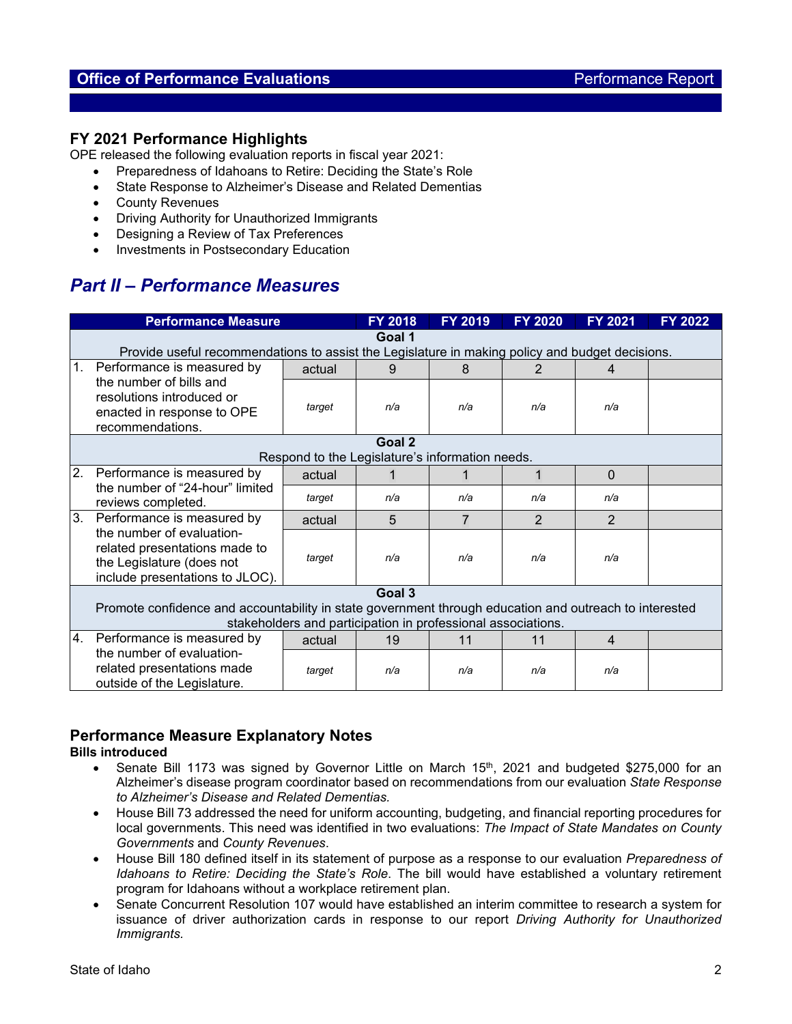# **Office of Performance Evaluations Performance Report Performance Report**

## **FY 2021 Performance Highlights**

OPE released the following evaluation reports in fiscal year 2021:

- Preparedness of Idahoans to Retire: Deciding the State's Role
- State Response to Alzheimer's Disease and Related Dementias
- County Revenues
- Driving Authority for Unauthorized Immigrants
- Designing a Review of Tax Preferences
- Investments in Postsecondary Education

# *Part II – Performance Measures*

|                | <b>Performance Measure</b>                                                                                                                                             |        | <b>FY 2018</b>                                  | FY 2019        | <b>FY 2020</b> | <b>FY 2021</b> | FY 2022 |  |  |  |
|----------------|------------------------------------------------------------------------------------------------------------------------------------------------------------------------|--------|-------------------------------------------------|----------------|----------------|----------------|---------|--|--|--|
|                | Goal 1<br>Provide useful recommendations to assist the Legislature in making policy and budget decisions.                                                              |        |                                                 |                |                |                |         |  |  |  |
| 1.             | Performance is measured by                                                                                                                                             | actual | 9                                               | 8              |                | 4              |         |  |  |  |
|                | the number of bills and<br>resolutions introduced or<br>enacted in response to OPE<br>recommendations.                                                                 | target | n/a                                             | n/a            | n/a            | n/a            |         |  |  |  |
|                | Goal 2                                                                                                                                                                 |        |                                                 |                |                |                |         |  |  |  |
|                |                                                                                                                                                                        |        | Respond to the Legislature's information needs. |                |                |                |         |  |  |  |
| 2.             | Performance is measured by<br>the number of "24-hour" limited<br>reviews completed.                                                                                    | actual |                                                 |                |                | $\mathbf{0}$   |         |  |  |  |
|                |                                                                                                                                                                        | target | n/a                                             | n/a            | n/a            | n/a            |         |  |  |  |
| 3 <sub>1</sub> | Performance is measured by                                                                                                                                             | actual | 5                                               | $\overline{7}$ | $\overline{2}$ | $\overline{2}$ |         |  |  |  |
|                | the number of evaluation-<br>related presentations made to<br>the Legislature (does not<br>include presentations to JLOC).                                             | target | n/a                                             | n/a            | n/a            | n/a            |         |  |  |  |
|                |                                                                                                                                                                        |        | Goal 3                                          |                |                |                |         |  |  |  |
|                | Promote confidence and accountability in state government through education and outreach to interested<br>stakeholders and participation in professional associations. |        |                                                 |                |                |                |         |  |  |  |
| 4.             | Performance is measured by                                                                                                                                             | actual | 19                                              | 11             | 11             | $\overline{4}$ |         |  |  |  |
|                | the number of evaluation-<br>related presentations made<br>outside of the Legislature.                                                                                 | target | n/a                                             | n/a            | n/a            | n/a            |         |  |  |  |

## **Performance Measure Explanatory Notes**

### **Bills introduced**

- Senate Bill 1173 was signed by Governor Little on March 15<sup>th</sup>, 2021 and budgeted \$275,000 for an Alzheimer's disease program coordinator based on recommendations from our evaluation *State Response to Alzheimer's Disease and Related Dementias.*
- House Bill 73 addressed the need for uniform accounting, budgeting, and financial reporting procedures for local governments. This need was identified in two evaluations: *The Impact of State Mandates on County Governments* and *County Revenues*.
- House Bill 180 defined itself in its statement of purpose as a response to our evaluation *Preparedness of Idahoans to Retire: Deciding the State's Role*. The bill would have established a voluntary retirement program for Idahoans without a workplace retirement plan.
- Senate Concurrent Resolution 107 would have established an interim committee to research a system for issuance of driver authorization cards in response to our report *Driving Authority for Unauthorized Immigrants.*